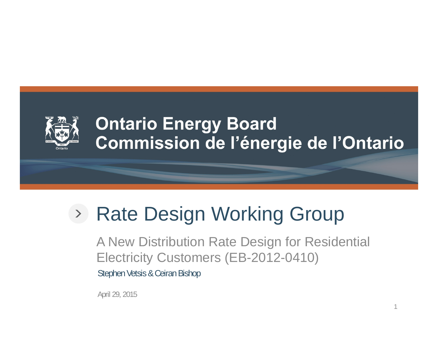

### **Ontario Energy Board** Commission de l'énergie de l'Ontario

# Rate Design Working Group

A New Distribution Rate Design for Residential Electricity Customers (EB-2012-0410) Stephen Vetsis & Ceiran Bishop

April 29, 2015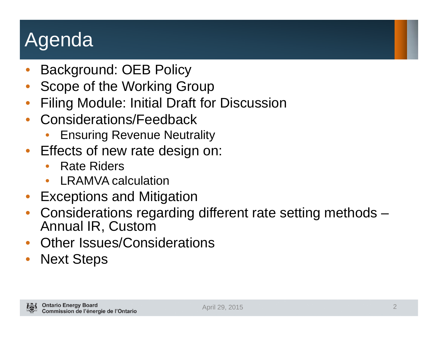## Agenda

- •Background: OEB Policy
- •Scope of the Working Group
- •Filing Module: Initial Draft for Discussion
- • Considerations/Feedback
	- •Ensuring Revenue Neutrality
- • Effects of new rate design on:
	- •Rate Riders
	- $\bullet$ LRAMVA calculation
- Exceptions and Mitigation
- • Considerations regarding different rate setting methods – Annual IR, Custom
- •Other Issues/Considerations
- •Next Steps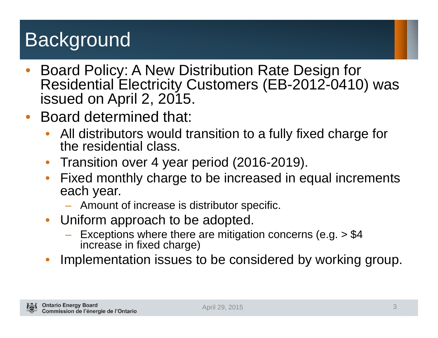# **Background**

- • Board Policy: A New Distribution Rate Design for Residential Electricity Customers (EB-2012-0410) was issued on April 2, 2015.
- • Board determined that:
	- $\bullet$  All distributors would transition to a fully fixed charge for the residential class.
	- $\bullet$ Transition over 4 year period (2016-2019).
	- • Fixed monthly charge to be increased in equal increments each year.
		- Amount of increase is distributor specific.
	- $\bullet$  Uniform approach to be adopted.
		- Exceptions where there are mitigation concerns (e.g. > \$4 increase in fixed charge)
	- •Implementation issues to be considered by working group.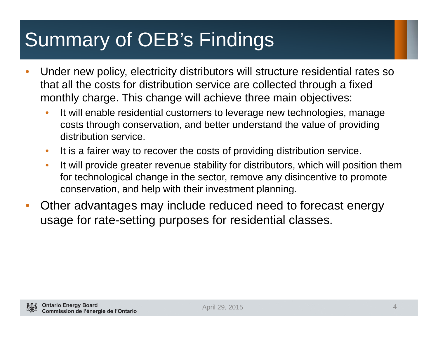# Summary of OEB's Findings

- • Under new policy, electricity distributors will structure residential rates so that all the costs for distribution service are collected through a fixed monthly charge. This change will achieve three main objectives:
	- • It will enable residential customers to leverage new technologies, manage costs through conservation, and better understand the value of providing distribution service.
	- $\bullet$ It is a fairer way to recover the costs of providing distribution service.
	- $\bullet$  It will provide greater revenue stability for distributors, which will position them for technological change in the sector, remove any disincentive to promote conservation, and help with their investment planning.
- • Other advantages may include reduced need to forecast energy usage for rate-setting purposes for residential classes.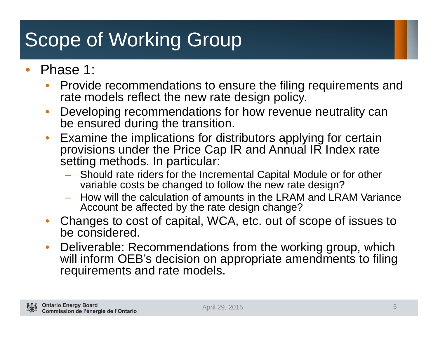# Scope of Working Group

- • Phase 1:
	- • Provide recommendations to ensure the filing requirements and rate models reflect the new rate design policy.
	- $\bullet$  Developing recommendations for how revenue neutrality can be ensured during the transition.
	- $\bullet$  Examine the implications for distributors applying for certain provisions under the Price Cap IR and Annual IR Index rate setting methods. In particular:
		- Should rate riders for the Incremental Capital Module or for other variable costs be changed to follow the new rate design?
		- How will the calculation of amounts in the LRAM and LRAM Variance Account be affected by the rate design change?
	- • Changes to cost of capital, WCA, etc. out of scope of issues to be considered.
	- $\bullet$  Deliverable: Recommendations from the working group, which will inform OEB's decision on appropriate amendments to filing requirements and rate models.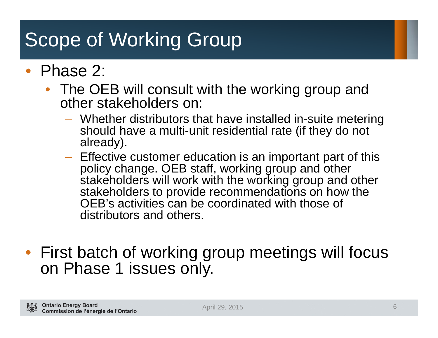## Scope of Working Group

### • Phase 2:

- $\bullet$  The OEB will consult with the working group and other stakeholders on:
	- **Holland** and the control Whether distributors that have installed in-suite metering should have a multi-unit residential rate (if they do not already).
	- $-$  Effective customer education is an important part of this policy change. OEB staff, working group and other stakeholders will work with the working group and other stakeholders to provide recommendations on how the OEB's activities can be coordinated with those of distributors and others.
- First batch of working group meetings will focus on Phase 1 issues only.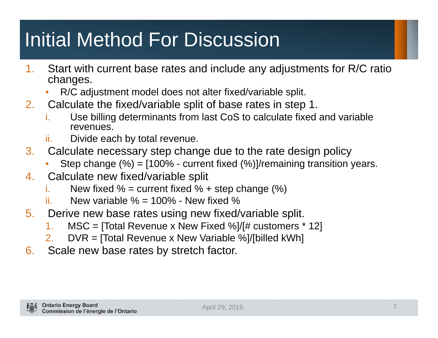# Initial Method For Discussion

- 1. Start with current base rates and include any adjustments for R/C ratio changes.
	- •R/C adjustment model does not alter fixed/variable split.
- 2. Calculate the fixed/variable split of base rates in step 1.
	- i. Use billing determinants from last CoS to calculate fixed and variable revenues.
	- ii.Divide each by total revenue.
- 3. Calculate necessary step change due to the rate design policy
	- •Step change (%) = [100% - current fixed (%)]/remaining transition years.
- 4. Calculate new fixed/variable split
	- i.New fixed  $%$  = current fixed  $%$  + step change  $%$ )
	- ii.New variable  $\% = 100\%$  - New fixed  $\%$
- 5. Derive new base rates using new fixed/variable split.
	- 1.MSC = [Total Revenue x New Fixed %]/[# customers \* 12]
	- 2.DVR = [Total Revenue x New Variable %]/[billed kWh]
- 6. Scale new base rates by stretch factor.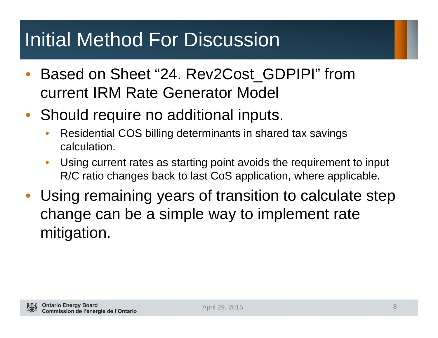## Initial Method For Discussion

- • Based on Sheet "24. Rev2Cost\_GDPIPI" from current IRM Rate Generator Model
- $\bullet$  Should require no additional inputs.
	- • Residential COS billing determinants in shared tax savings calculation.
	- $\bullet$  Using current rates as starting point avoids the requirement to input R/C ratio changes back to last CoS application, where applicable.
- Using remaining years of transition to calculate step change can be a simple way to implement rate mitigation.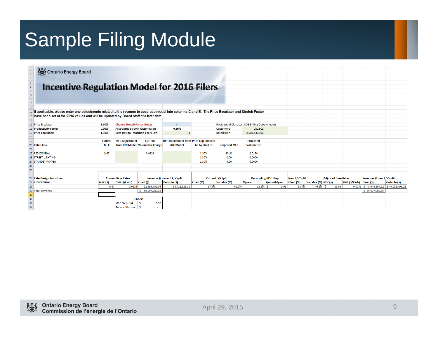## Sample Filing Module

Ontario Energy Board

#### **Incentive Regulation Model for 2016 Filers**

 $\begin{array}{c|cc}\n2 & 3 & 4 \\
3 & 4 & 5 \\
6 & 7 & 8 \\
9 & 10 \\
11\n\end{array}$ 12 If applicable, please enter any adjustments related to the revenue to cost ratio model into columns C and E. The Price Escalator and Stretch Factor 13 have been set at the 2015 values and will be updated by Board staff at a later date.

| 14              |                               |                           |                                          |                                  |                                        |                          |                                                 |                            |               |               |                            |       |                         |                                           |               |
|-----------------|-------------------------------|---------------------------|------------------------------------------|----------------------------------|----------------------------------------|--------------------------|-------------------------------------------------|----------------------------|---------------|---------------|----------------------------|-------|-------------------------|-------------------------------------------|---------------|
|                 | 15 Price Escalator            | 1.60%                     | <b>Choose Stretch Factor Group</b>       |                                  | III                                    |                          | Residential Class Last COS Billing Determinants |                            |               |               |                            |       |                         |                                           |               |
|                 | <b>16 Productivity Factor</b> | 0.00%                     | <b>Associated Stretch Factor Value</b>   |                                  | 0.30%                                  |                          | Customers                                       | 280,901                    |               |               |                            |       |                         |                                           |               |
|                 | 17 Price Cap Index            | 1.30%                     | <b>Rate Design Transition Years Left</b> |                                  |                                        |                          | <b>Billed kWh</b>                               | 2,282,535,398              |               |               |                            |       |                         |                                           |               |
| 18              |                               |                           |                                          |                                  |                                        |                          |                                                 |                            |               |               |                            |       |                         |                                           |               |
| 19              |                               | Current                   | <b>MFC Adjustment</b>                    | <b>Current</b>                   | DVR Adjustment from Price Cap Index to |                          |                                                 | <b>Proposed</b>            |               |               |                            |       |                         |                                           |               |
|                 | 20 Rate Class                 | <b>MFC</b>                |                                          | from R/C Model Volumetric Charge | <b>R/C Model</b>                       | be Applied to            | <b>Proposed MFC</b>                             | <b>Volumetric</b>          |               |               |                            |       |                         |                                           |               |
| 21              |                               |                           |                                          |                                  |                                        |                          |                                                 |                            |               |               |                            |       |                         |                                           |               |
|                 | 22 RESIDENTIAL                | 9.67                      |                                          | 0.0234                           |                                        | 1.30%                    | 13.81                                           | 0.0178                     |               |               |                            |       |                         |                                           |               |
|                 | 23 STREET LIGHTING            |                           |                                          |                                  |                                        | 1.30%                    | 0.00                                            | 0.0000                     |               |               |                            |       |                         |                                           |               |
|                 | 24 STANDBY POWER              |                           |                                          |                                  |                                        | 1.30%                    | 0.00                                            | 0.0000                     |               |               |                            |       |                         |                                           |               |
| 25              |                               |                           |                                          |                                  |                                        |                          |                                                 |                            |               |               |                            |       |                         |                                           |               |
| 26              |                               |                           |                                          |                                  |                                        |                          |                                                 |                            |               |               |                            |       |                         |                                           |               |
|                 |                               |                           |                                          |                                  |                                        |                          |                                                 |                            |               |               |                            |       |                         |                                           |               |
|                 | 27 Rate Design Transition     | <b>Current Base Rates</b> |                                          | Revenue @ current F/V split      |                                        | <b>Current F/V Split</b> |                                                 | <b>Decoupling MSC Step</b> |               | New F/V Split | <b>Adjusted Base Rates</b> |       |                         | Revenue @ new F/V split                   |               |
|                 | 28 RESIDENTIAL                | MSC(5)                    | DVR (\$/kWh)                             | Fixed (\$)                       | Variable (\$)                          | Fixed (%)                | Variable (%)                                    | $%$ /year                  | \$/month/year | Fixed (%)     | Variable (%) MSC(\$)       |       | DVR (\$/kWh) Fixed (\$) |                                           | Variable (\$) |
| 29              |                               | 9.67                      | 0.0234                                   | 32,595,752.04                    | 53,411,328.31                          | 37.9%                    | 62.1%                                           | $15.5%$ \$                 | 3.96          | 53.4%         | $46.6\%$ \$                | 13.63 |                         | $0.0176$ \$ 45,948,584.12 \$40,058,496.23 |               |
|                 | 30 Total Revenue              |                           |                                          | 86,007,080.35                    |                                        |                          |                                                 |                            |               |               |                            |       |                         | \$86,007,080.35                           |               |
| 31              |                               |                           |                                          |                                  |                                        |                          |                                                 |                            |               |               |                            |       |                         |                                           |               |
| $\overline{32}$ |                               |                           |                                          | <b>Checks</b>                    |                                        |                          |                                                 |                            |               |               |                            |       |                         |                                           |               |
| 33 <sub>1</sub> |                               |                           | MSC Step $<$ \$4                         | 3.96                             |                                        |                          |                                                 |                            |               |               |                            |       |                         |                                           |               |
| 34              |                               |                           | Reconcilitation   \$                     |                                  |                                        |                          |                                                 |                            |               |               |                            |       |                         |                                           |               |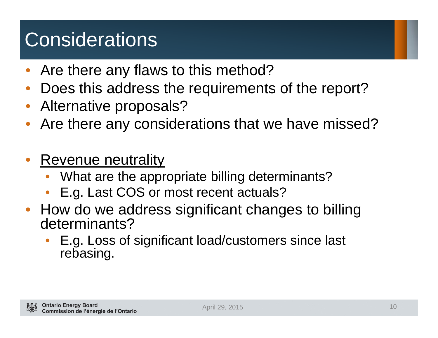## **Considerations**

- •Are there any flaws to this method?
- •Does this address the requirements of the report?
- Alternative proposals?
- •Are there any considerations that we have missed?
- • Revenue neutrality
	- •What are the appropriate billing determinants?
	- •E.g. Last COS or most recent actuals?
- How do we address significant changes to billing determinants?
	- • E.g. Loss of significant load/customers since last rebasing.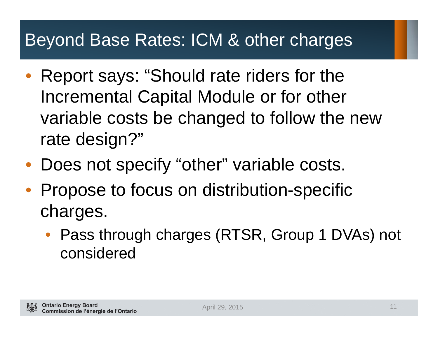### Beyond Base Rates: ICM & other charges

- $\bullet$  Report says: "Should rate riders for the Incremental Capital Module or for other variable costs be changed to follow the new rate design?"
- Does not specify "other" variable costs.
- Propose to focus on distribution-specific charges.
	- $\bullet$  Pass through charges (RTSR, Group 1 DVAs) not considered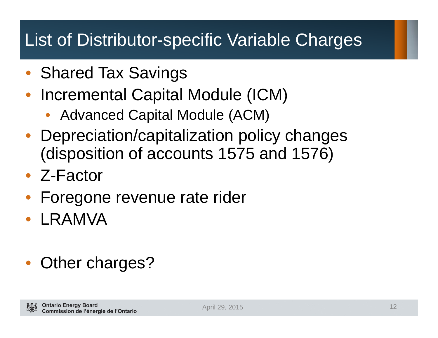### List of Distributor-specific Variable Charges

- Shared Tax Savings
- • Incremental Capital Module (ICM)
	- •Advanced Capital Module (ACM)
- Depreciation/capitalization policy changes (disposition of accounts 1575 and 1576)
- Z-Factor
- $\bullet$ Foregone revenue rate rider
- LRAMVA
- Other charges?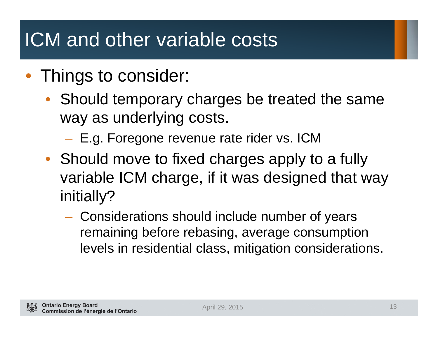### ICM and other variable costs

- Things to consider:
	- Should temporary charges be treated the same way as underlying costs.
		- **Hart Communication** E.g. Foregone revenue rate rider vs. ICM
	- Should move to fixed charges apply to a fully variable ICM charge, if it was designed that way initially?
		- Considerations should include number of years remaining before rebasing, average consumption levels in residential class, mitigation considerations.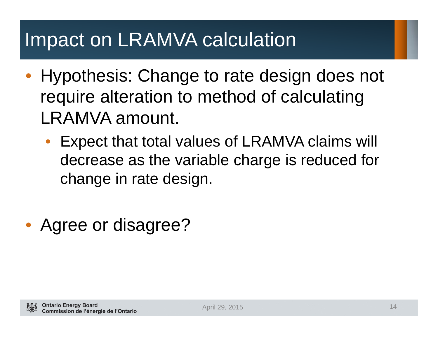### Impact on LRAMVA calculation

- $\bullet$  Hypothesis: Change to rate design does not require alteration to method of calculating LRAMVA amount.
	- • Expect that total values of LRAMVA claims will decrease as the variable charge is reduced for change in rate design.
- Agree or disagree?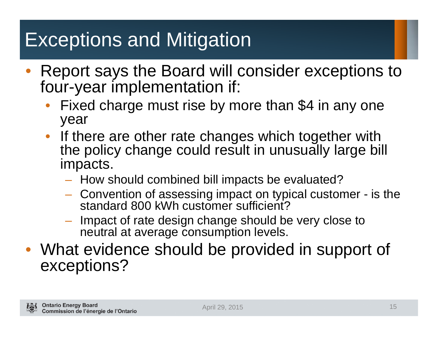## Exceptions and Mitigation

- $\bullet$  Report says the Board will consider exceptions to four-year implementation if:
	- • Fixed charge must rise by more than \$4 in any one year
	- If there are other rate changes which together with the policy change could result in unusually large bill impacts.
		- How should combined bill impacts be evaluated?
		- Convention of assessing impact on typical customer is the standard 800 kWh customer sufficient?
		- Impact of rate design change should be very close to neutral at average consumption levels.
- What evidence should be provided in support of exceptions?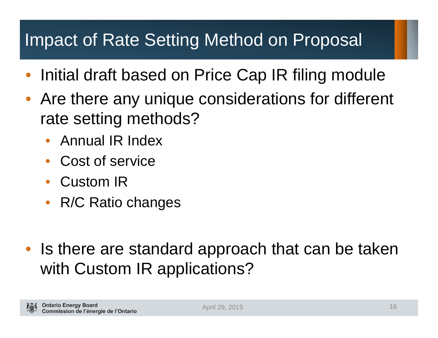### Impact of Rate Setting Method on Proposal

- •Initial draft based on Price Cap IR filing module
- • Are there any unique considerations for different rate setting methods?
	- $\bullet$ Annual IR Index
	- •Cost of service
	- $\bullet$ Custom IR
	- $\bullet$ R/C Ratio changes
- • Is there are standard approach that can be taken with Custom IR applications?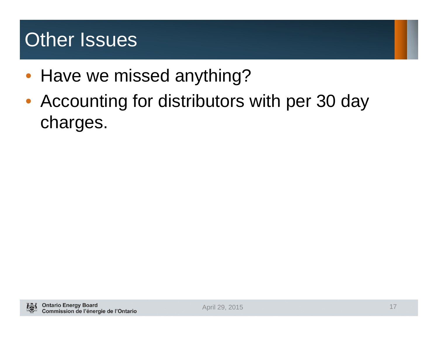### Other Issues

- Have we missed anything?
- Accounting for distributors with per 30 day charges.